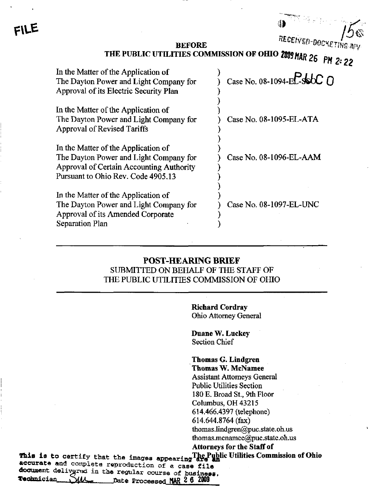RECEIVED-BOCKETING A

## BEFORE THE PUBLIC UTILITIES COMMISSION OF OfflO

| In the Matter of the Application of<br>The Dayton Power and Light Company for<br>Approval of its Electric Security Plan                                                | Case No. 08-1094-EL-SSOC 0 |
|------------------------------------------------------------------------------------------------------------------------------------------------------------------------|----------------------------|
| In the Matter of the Application of<br>The Dayton Power and Light Company for<br><b>Approval of Revised Tariffs</b>                                                    | Case No. 08-1095-EL-ATA    |
| In the Matter of the Application of<br>The Dayton Power and Light Company for<br><b>Approval of Certain Accounting Authority</b><br>Pursuant to Ohio Rev. Code 4905.13 | Case No. 08-1096-EL-AAM    |
| In the Matter of the Application of<br>The Dayton Power and Light Company for<br>Approval of its Amended Corporate<br>Separation Plan                                  | Case No. 08-1097-EL-UNC    |

## POST-HEARING BRIEF SUBMITTED ON BEHALF OF THE STAFF OF THE PUBLIC UTILITIES COMMISSION OF OHIO

Richard Cordray Ohio Attomey General

Duane W. Luckey Section Chief

Thomas G. Lindgren Thomas W, McNamee Assistant Attomeys General Public Utilities Section 180 E. Broad St., 9th Floor Columbus, OH 43215 614.466.4397 (telephone) 614.644.8764 (fax) [thomas.lindgren@puc.state.oh.us](mailto:thomas.lindgren@puc.state.oh.us)  [thomas.mcnamee@puc.state.oh.us](mailto:thomas.mcnamee@puc.state.oh.us)  Attorneys for the Staff of

This is to certify that the Images appearing^i^S^\*^\*^ ^\*\*'\*\*'\*^\* ^\*'™™\*^\*\*"" ^'^^\*\*^\*\* accurate and complete reproduction of a case file document delivered in the regular course of business,<br>Technician WAAL that Processed MAD 2 6 2009 Date Processed MAR 2 6 2009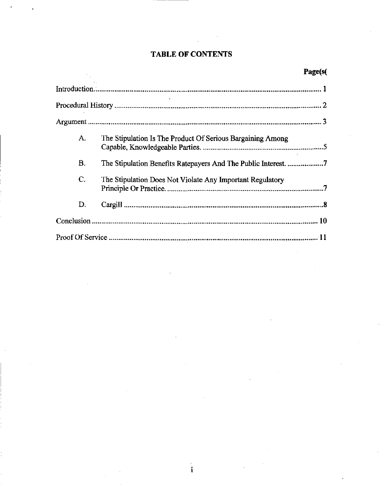# TABLE OF CONTENTS

| A.        | The Stipulation Is The Product Of Serious Bargaining Among     |  |
|-----------|----------------------------------------------------------------|--|
| <b>B.</b> | The Stipulation Benefits Ratepayers And The Public Interest. 7 |  |
| C.        | The Stipulation Does Not Violate Any Important Regulatory      |  |
| D.        |                                                                |  |
|           |                                                                |  |
|           |                                                                |  |

 $\mathbf{i}$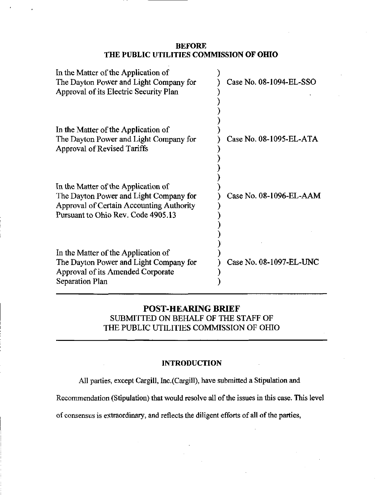### BEFORE THE PUBLIC UTILITIES COMMISSION OF OHIO

| In the Matter of the Application of<br>The Dayton Power and Light Company for<br>Approval of its Electric Security Plan                                         | Case No. 08-1094-EL-SSO |
|-----------------------------------------------------------------------------------------------------------------------------------------------------------------|-------------------------|
| In the Matter of the Application of<br>The Dayton Power and Light Company for<br>Approval of Revised Tariffs                                                    | Case No. 08-1095-EL-ATA |
| In the Matter of the Application of<br>The Dayton Power and Light Company for<br>Approval of Certain Accounting Authority<br>Pursuant to Ohio Rev. Code 4905.13 | Case No. 08-1096-EL-AAM |
| In the Matter of the Application of<br>The Dayton Power and Light Company for<br>Approval of its Amended Corporate<br>Separation Plan                           | Case No. 08-1097-EL-UNC |

## POST-HEARING BRIEF SUBMITTED ON BEHALF OF THE STAFF OF THE PUBLIC UTILITIES COMMISSION OF OHIO

## INTRODUCTION

All parties, except Cargill, Inc.(Cargill), have submitted a Stipulation and

Recommendation (Stipulation) that would resolve all of the issues in this case. This level

of consensus is extraordinary, and reflects the diligent efforts of all of the parties,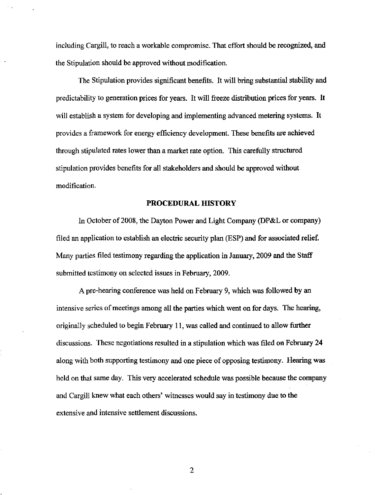including Cargill, to reach a workable compromise. That effort should be recognized, and the Stipulation should be approved without modification.

The Stipulation provides significant benefits. It will bring substantial stability and predictability to generation prices for years. It will freeze distribution prices for years. It will establish a system for developing and implementing advanced metering systems. It provides a framework for energy efticiency development. These benefits are achieved through stipulated rates lower than a market rate option. This carefiilly structured stipulation provides benefits for all stakeholders and should be approved without modification.

#### PROCEDURAL HISTORY

In October of 2008, the Dayton Power and Light Company (DP&L or company) filed an application to establish an electric security plan (ESP) and for associated relief. Many parties filed testimony regarding the application in January, 2009 and the Staff submitted testimony on selected issues in February, 2009.

A pre-hearing conference was held on February 9, which was followed by an intensive series of meetings among all the parties which went on for days. The hearing, originally scheduled to begin February 11, was called and continued to allow further discussions. These negotiations resulted in a stipulation which was filed on February 24 along with both supporting testimony and one piece of opposing testimony. Hearing was held on that same day. This very accelerated schedule was possible because the company and Cargill knew what each others' witnesses would say in testimony due to the extensive and intensive settlement discussions.

 $\mathbf{2}$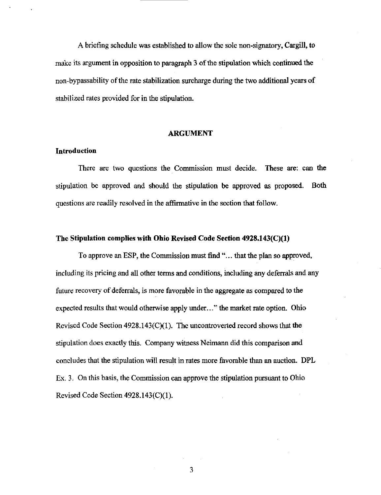A briefing schedule was established to allow the sole non-signatory, Cargill, to make its argument in opposition to paragraph 3 of the stipulation which continued the non-bypassability of the rate stabilization surcharge during the two additional years of stabilized rates provided for in the stipulation.

#### ARGUMENT

#### Introduction

There are two questions the Commission must decide. These are: can the stipulation be approved and should the stipulation be approved as proposed. Both questions are readily resolved in the affirmative in the section that follow.

#### The Stipulation complies with Ohio Revised Code Section 4928.143(C)(1)

To approve an ESP, the Commission must find "... that the plan so approved, including its pricing and all other terms and conditions, including any deferrals and any future recovery of deferrals, is more favorable in the aggregate as compared to the expected results that would otherwise apply under..." the market rate option. Ohio Revised Code Section 4928.143(C)(1). The uncontroverted record shows that the stipulation does exactly this. Company witness Neimann did this comparison and concludes that the stipulation will result in rates more favorable than an auction. DPL Ex. 3, On this basis, the Commission can approve the stipulation pursuant to Ohio Revised Code Section 4928.143(C)(1).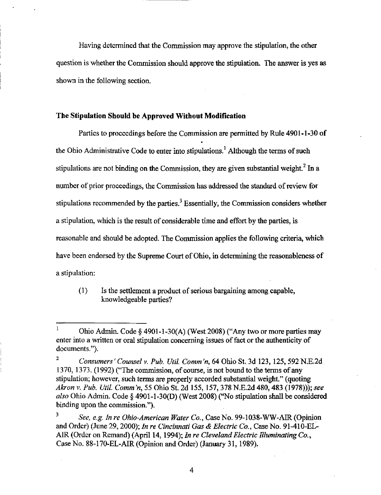Having determined that the Commission may approve the stipulation, the other question is whether the Commission should approve the stipulation. The answer is yes as shown in the following section.

#### The Stipulation Should be Approved Without Modification

Parties to proceedings before the Commission are permitted by Rule 4901-1-30 of the Ohio Administrative Code to enter into stipulations.<sup>1</sup> Although the terms of such stipulations are not binding on the Commission, they are given substantial weight. $<sup>2</sup>$  In a</sup> number of prior proceedings, the Commission has addressed the standard of review for stipulations recommended by the parties. $3$  Essentially, the Commission considers whether a stipulation, which is the result of considerable time and effort by the parties, is reasonable and should be adopted. The Commission applies the following criteria, which have been endorsed by the Supreme Court of Ohio, in determining the reasonableness of a stipulation:

(1) Is the settiement a product of serious bargaining among capable, knowledgeable parties?

<sup>3</sup> See, e.g. In re Ohio-American Water Co., Case No. 99-1038-WW-AIR (Opinion and Order) (June 29, 2000); In re Cincinnati Gas & Electric Co., Case No. 91-410-EL-AIR (Order on Remand) (April 14,1994); In re Cleveland Electric Illuminating Co., Case No. 88-170-EL-AIR (Opinion and Order) (January 31, 1989).

<sup>&</sup>lt;sup>1</sup> Ohio Admin. Code § 4901-1-30(A) (West 2008) ("Any two or more parties may enter into a written or oral stipulation conceming issues of fact or the authenticity of documents.").

<sup>&</sup>lt;sup>2</sup> Consumers' Counsel v. Pub. Util. Comm 'n, 64 Ohio St. 3d 123, 125, 592 N.E.2d 1370, 1373. (1992) ("The commission, of course, is not bound to the terms of any stipulation; however, such terms are properly accorded substantial weight." (quoting Akron v. Pub. Util. Comm'n, 55 Ohio St. 2d 155, 157, 378 N.E.2d 480, 483 (1978))); see also Ohio Admin. Code § 4901-1-30(D) (West 2008) ("No stipulation shall be considered binding upon the commission.").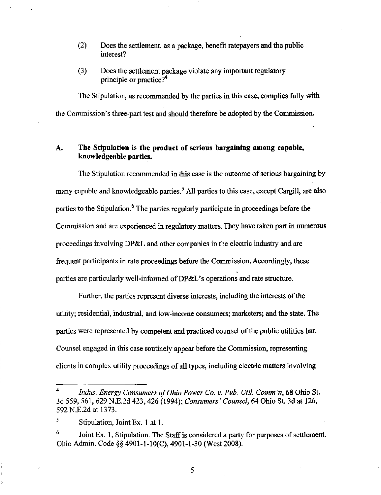- (2) Does the settlement, as a package, benefit ratepayers and the public interest?
- (3) Does the settlement package violate any important regulatory principle or practice? $4^4$

The Stipulation, as recommended by the parties in this case, complies fully with the Commission's three-part test and should therefore be adopted by the Commission.

## A. The Stipulation is the product of serious bargaining among capable, knowledgeable parties.

The Stipulation recommended in this case is the outcome of serious bargaining by many capable and knowledgeable parties.<sup>5</sup> All parties to this case, except Cargill, are also parties to the Stipulation.<sup>6</sup> The parties regularly participate in proceedings before the Commission and are experienced in regulatory matters. They have taken part in numerous proceedings involving DP&L and other companies in the electric industry and are frequent participants in rate proceedings before the Commission. Accordingly, these parties are particularly well-informed of  $DP&L$ 's operations and rate structure.

Further, the parties represent diverse interests, includmg the interests of the utility; residential, industrial, and low-income consumers; marketers; and the state. The parties were represented by competent and practiced counsel of the public utilities bar. Counsel engaged in this case routinely appear before the Commission, representing clients in complex utility proceedings of all types, including electric matters involving

Indus. Energy Consumers of Ohio Power Co. v. Pub. Util. Comm'n, 68 Ohio St. 3d 559, 561, 629 N.E.2d 423, 426 (1994); Consumers'Counsel 64 Ohio St. 3d at 126, 592 N.E.2d at 1373.

 $^5$  Stipulation, Joint Ex. 1 at 1.

Joint Ex. 1, Stipulation. The Staff is considered a party for purposes of settlement. Ohio Admin. Code §§ 4901-1-10(C), 4901-1-30 (West 2008).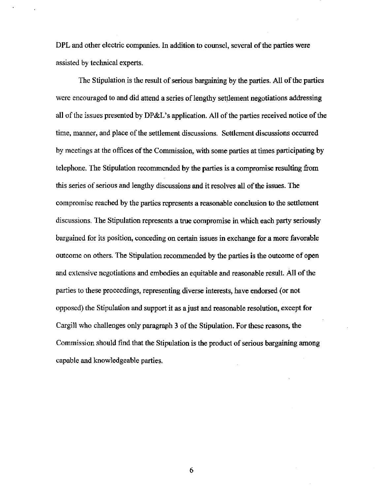DPL and other electric companies. In addition to counsel, several of the parties were assisted by technical experts.

The Stipulation is the result of serious bargaining by the parties. All of the parties were encouraged to and did attend a series of lengthy settlement negotiations addressing all of the issues presented by DP&L's application. All of the parties received notice of the time, manner, and place of the settlement discussions. Settlement discussions occurred by meetings at the offices of the Commission, with some parties at times participating by telephone. The Stipulation recommended by the parties is a compromise resulting from this series of serious and lengthy discussions and it resolves all of the issues. The compromise reached by the parties represents a reasonable conclusion to the settlement discussions. The Stipulation represents a true compromise in which each party seriously bargained for its position, conceding on certain issues in exchange for a more favorable outcome on others. The Stipulation recommended by the parties is the outcome of open and extensive negotiations and embodies an equitable and reasonable result. All of the parties to these proceedings, representing diverse interests, have endorsed (or not opposed) the Stipulation and support it as a just and reasonable resolution, except for Cargill who challenges only paragraph 3 of the Stipulation. For these reasons, the Commission should find that the Stipulation is the product of serious bargaining among capable and knowledgeable parties.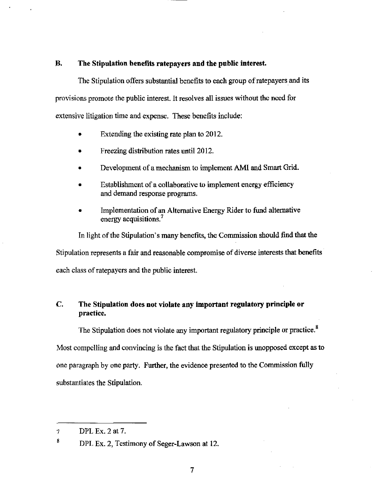## B. The Stipulation benefits ratepayers and the public interest.

The Stipulation offers substantial benefits to each group of ratepayers and its provisions promote the public interest. It resolves all issues without the need for extensive litigation time and expense. These benefits include:

- Extending the existing rate plan to 2012.
- Freezing distribution rates until 2012.
- Development of a mechanism to implement AMI and Smart Grid.
- Establishment of a collaborative to implement energy efficiency and demand response programs.
- Implementation of an Alternative Energy Rider to fund alternative energy acquisitions.<sup>7</sup>

In light of the Stipulation's many benefits, the Commission should find that the Stipulation represents a fair and reasonable compromise of diverse interests that benefits each class of ratepayers and the public interest.

## C. The Stipulation does not violate any important regulatory principle or practice.

The Stipulation does not violate any important regulatory principle or practice.<sup>8</sup> Most compelling and convincing is the fact that the Stipulation is unopposed except as to one paragraph by one party. Further, the evidence presented to the Commission fiilly substantiates the Stipulation.

DPL Ex. 2 at 7.  $\mathcal{I}$ 

 $\bf 8$ DPL Ex. 2, Testimony of Seger-Lawson at 12.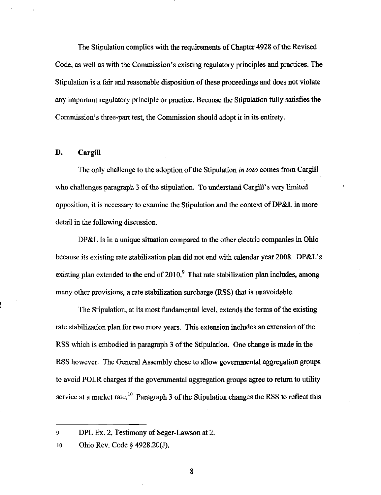The Stipulation complies with the requirements of Chapter 4928 of the Revised Code, as well as with the Commission's existing regulatory principles and practices. The Stipulation is a fair and reasonable disposition of these proceedings and does not violate any important regulatory principle or practice. Because the Stipulation fiilly satisfies the Commission's three-part test, the Commission should adopt it in its entirety.

#### D. CargiU

The only challenge to the adoption of the Stipulation in toto comes from Cargill who challenges paragraph 3 of the stipulation. To understand Cargill's very limited opposition, it is necessary to examine the Stipulation and the context of DP&L in more detail in the following discussion.

DP&L is in a unique situation compared to the other electric companies in Ohio because its existing rate stabilization plan did not end with calendar year 2008. DP&L's existing plan extended to the end of  $2010$ .<sup>9</sup> That rate stabilization plan includes, among many other provisions, a rate stabilization surcharge (RSS) that is unavoidable.

The Stipulation, at its most fundamental level, extends the terms of the existing rate stabilization plan for two more years. This extension includes an extension of the RSS which is embodied in paragraph 3 of the Stipulation. One change is made in the RSS however. The General Assembly chose to allow govemmental aggregation groups to avoid POLR charges if the govemmental aggregation groups agree to retum to utility service at a market rate.<sup>10</sup> Paragraph 3 of the Stipulation changes the RSS to reflect this

<sup>9</sup> DPL Ex. 2, Testimony of Seger-Lawson at 2.

<sup>10</sup> Ohio Rev. Code § 4928.20(J).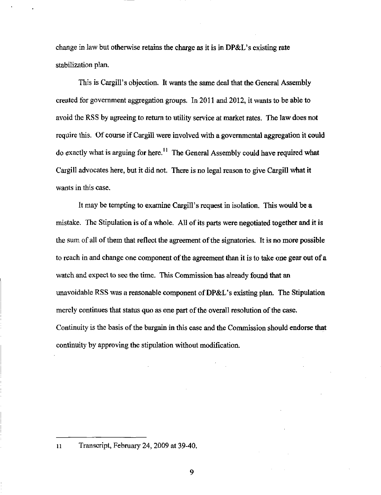change in law but otherwise retains the charge as it is in DP&L's existing rate stabilization plam

This is Cargill's objection. It wants the same deal that the General Assembly created for govemment aggregation groups. In 2011 and 2012, it wants to be able to avoid the RSS by agreeing to retum to utility service at market rates. The law does not require this. Of course if Cargill were involved with a govemmental aggregation it could do exactly what is arguing for here.<sup>11</sup> The General Assembly could have required what Cargill advocates here, but it did not. There is no legal reason to give Cargill what it wants in this case.

It may be tempting to examine Cargill's request in isolation. This would be a mistake. The Stipulation is of a whole. All of its parts were negotiated together and it is the sum of all of them that reflect the agreement of the signatories. It is no more possible to reach in and change one component of the agreement than it is to take one gear out of a watch and expect to see the time. This Commission has already found that an unavoidable RSS was a reasonable component of DP&L's existing plan. The Stipulation merely continues that status quo as one part of the overall resolution of the case. Continuity is the basis of the bargain in this case and the Commission should endorse that continuity by approving the stipulation without modification.

<sup>11</sup> Transcript, Febmary 24, 2009 at 39-40.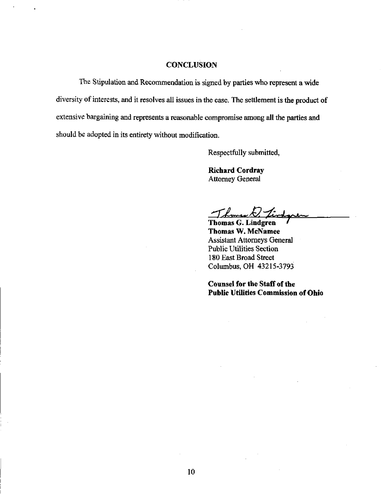#### **CONCLUSION**

The Stipulation and Recommendation is signed by parties who represent a wide diversity of interests, and it resolves all issues in the case. The settlement is the product of extensive bargaining and represents a reasonable compromise among all the parties and should be adopted in its entirety without modification.

Respectfully submitted,

Richard Cordray Attomey General

Thomas G. Lindgren ' Thomas W. McNamee Assistant Attomeys General Public Utilities Section 180 East Broad Street Columbus, OH 43215-3793

Counsel for the Staff of the Public Utilities Commission of Ohio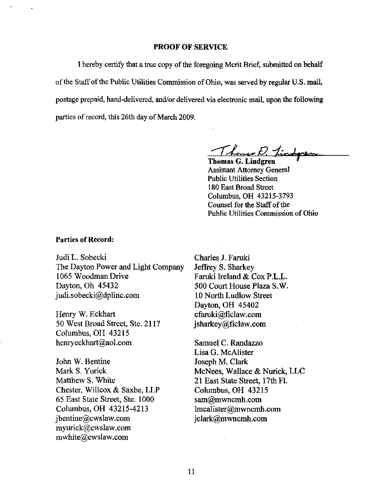#### PROOF OF SERVICE

I hereby certify that a true copy of the foregoing Merit Brief, submitted on behalf of the Staff of the Public Utilities Commission of Ohio, was served by regular U.S. mail, postage prepaid, hand-delivered, and/or delivered via electronic mail, upon the following parties of record, this 26th day of March 2009.

Thomas D. Lindgren

Assistant Attomey General Public Utilities Section 180 East Broad Street Columbus, OH 43215-3793 Counsel for the Staff of the Public Utilities Commission of Ohio

#### Parties of Record:

Judi L. Sobecki The Dayton Power and Light Company 1065 Woodman Drive Dayton, Oh 45432 [judi.sobecki@dplinc.com](mailto:judi.sobecki@dplinc.com) 

Henry W. Eckhart 50 West Broad Street, Ste. 2117 Columbus, OH 43215 henryeckhart@aol.com

John W. Bentine Mark S. Yurick Matthew S. White Chester, Willcox & Saxbe, LLP 65 East State Street, Ste. 1000 Columbus, OH 43215-4213 [jbentine@cwslaw.com](mailto:jbentine@cwslaw.com)  [myurick@cwslaw.com](mailto:myurick@cwslaw.com)  [mwhite@cwslaw.com](mailto:mwhite@cwslaw.com) 

Charles J. Faruki Jeffrey S. Sharkey Faruki Ireland & Cox P.L.L. 500 Court House Plaza S.W. 10 North Ludlow Street Dayton, OH 45402 [cfaruki@ficlaw.com](mailto:cfaruki@ficlaw.com)  [jsharkey@ficlaw.com](mailto:jsharkey@ficlaw.com) 

Samuel C. Randazzo Lisa G. McAlister Joseph M. Clark McNees, Wallace & Nurick, LLC 21 East State Street, 17th FL Columbus, OH 43215 [sam@mwncmh.com](mailto:sam@mwncmh.com)  [lmcalister@mwncmh.com](mailto:lmcalister@mwncmh.com)  [jclark@mwncmh.com](mailto:jclark@mwncmh.com)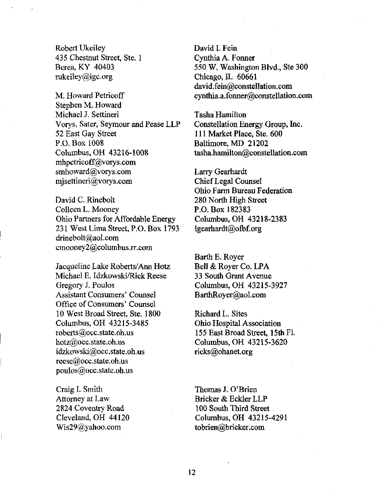Robert Ukeiley 435 Chestnut Street, Ste. 1 Berea, KY 40403 [mkeiley@igc.org](mailto:mkeiley@igc.org) 

M. Howard Petricoff Stephen M. Howard Michael J. Settineri Vorys, Sater, Seymour and Pease LLP 52 East Gay Street P.O. Box 1008 Columbus, OH 43216-1008 [mhpetricoff@vorys.com](mailto:mhpetricoff@vorys.com)  [smhoward@vorys.com](mailto:smhoward@vorys.com)  [mjsettineri@vorys.com](mailto:mjsettineri@vorys.com) 

David C. Rinebolt Colleen L. Mooney Ohio Partners for Affordable Energy 231 West Lima Street, P.O. Box 1793 [drinebolt@aol.com](mailto:drinebolt@aol.com)  [cmooney2@columbus.rr.com](mailto:cmooney2@columbus.rr.com) 

Jacqueline Lake Roberts/Ann Hotz Michael E. Idzkowski/Rick Reese Gregory J. Poulos Assistant Consumers' Counsel Office of Consumers' Counsel 10 West Broad Street, Ste. 1800 Columbus, OH 43215-3485 [roberts@occ.state.oh.us](mailto:roberts@occ.state.oh.us)  [hotz@occ.state.oh.us](mailto:hotz@occ.state.oh.us)  [idzkowski@occ.state.oh.us](mailto:idzkowski@occ.state.oh.us)  [reese@occ.state.oh.us](mailto:reese@occ.state.oh.us)  [poulos@occ.state.oh.us](mailto:poulos@occ.state.oh.us) 

Craig I. Smith Attomey at Law 2824 Coventry Road Cleveland, OH 44120 [Wis29@yahoo.com](mailto:Wis29@yahoo.com) 

David I. Fein Cynthia A. Fonner 550 W. Washington Blvd., Ste 300 Chicago, IL 60661 david.fein@constellation.com [cynthia.a.fonner@constellation.com](mailto:cynthia.a.fonner@constellation.com) 

Tasha Hamihon Constellation Energy Group, Inc. 111 Market Place, Ste. 600 Baltimore, MD 21202 [tasha.hamilton@constellation.com](mailto:tasha.hamilton@constellation.com) 

Larry Gearhardt Chief Legal Counsel Ohio Farm Bureau Federation 280 North High Street P.O.Box 182383 Columbus, OH 43218-2383 lgearhardt@ofb£org

Barth E. Royer Bell & Royer Co. LPA 33 South Grant Avenue Columbus, OH 43215-3927 [BarthRoyer@aol.com](mailto:BarthRoyer@aol.com) 

Richard L. Sites Ohio Hospital Association 155 East Broad Street, 15th Fl Columbus, OH 43215-3620 [ricks@ohanet.org](mailto:ricks@ohanet.org) 

Thomas J. O'Brien Bricker&EcklerLLP 100 South Third Street Columbus, OH 43215-4291 tobrien@bricker.com